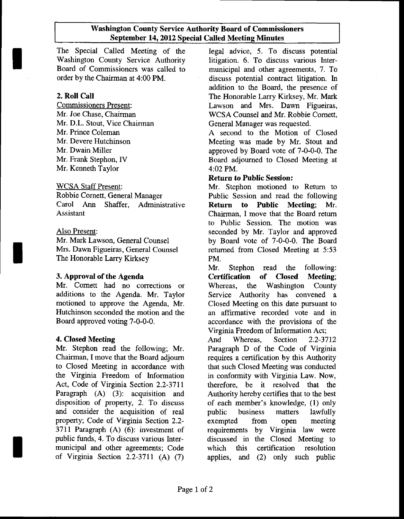#### Washington County Service Authority Board of Commissioners September 14, 2012 Special Called Meeting Minutes

The Special Called Meeting of the Washington County Service Authority Board of Commissioners was called to order by the Chairman at 4:00 PM.

## 2. Roll Call

Commissioners Present: Mr. Joe Chase. Chairman Mr. D.L. Stout, Vice Chairman Mr. Prince Coleman Mr. Devere Hutchinson Mr. Dwain Miller Mr. Frank Stephon, IV Mr. Kenneth Taylor

## WCSA Staff Present:

Robbie Cornett, General Manager Carol Ann Shaffer, Administrative Assistant

## Also Present:

Mr. Mark Lawson. General Counsel Mrs. Dawn Figueiras, General Counsel The Honorable Larry Kirksey

# 3. Approval of the Agenda

Mr. Comett had no corrections or additions to the Agenda. Mr. Taylor motioned to approve the Agenda, Mr. Hutchinson seconded the motion and the Board approved voting 7-0-0-0.

# 4. Closed Meeting

Mr. Stephon read the following; Mr. Chairman, I move that the Board adjoum to Closed Meeting in accordance with the Virginia Freedom of Information Act, Code of Virginia Section 2.2-3711 Paragraph (A) (3): acquisition and disposition of property, 2. To discuss and consider the acquisition of real property; Code of Virginia Section 2.2- 3711 Paragraph (A) (6): investment of public funds, 4. To discuss various Intermunicipal and other agreements; Code of Virginia Section 2.2-3711 (A) (7)

legal advice, 5. To discuss potential litigation. 6. To discuss various Intermunicipal and other agreements, 7. To discuss potential contract litigation. In addition to the Board, the presence of The Honorable Larry Kirksey, Mr. Mark Lawson and Mrs. Dawn Figueiras, WCSA Counsel and Mr. Robbie Comett, General Manager was requested.

A second to the Motion of Closed Meeting was made by Mr. Stout and approved by Board vote of 7-0-0-0. The Board adjourned to Closed Meeting at 4:02 PM.

## Return to Public Session:

Mr. Stephon motioned to Return to Public Session and read the following Return to Public Meeting; Mr. Chairman, I move that the Board retum to Public Session. The motion was seconded by Mr. Taylor and approved by Board vote of 7-0-0-0. The Board refumed from Closed Meeting at 5:53 PM.

Mr. Stephon read the following: Certification of Closed Meeting; Whereas, the Washington County Service Authority has convened a Closed Meeting on this date pursuant to an affirmative recorded vote and in accordance with the provisions of the Virginia Freedom of Information Act;

And Whereas, Section 2.2-3712 Paragraph D of the Code of Virginia requires a certification by this Authority that such Closed Meeting was conducted in conformity with Virginia Law. Now, therefore, be it resolved that the Authority hereby certifies that to the best of each member's knowledge, (l) only public business matters lawfully exempted from open meeting requirements by Virginia law were discussed in the Closed Meeting to which this certification resolution applies, and (2) only such public